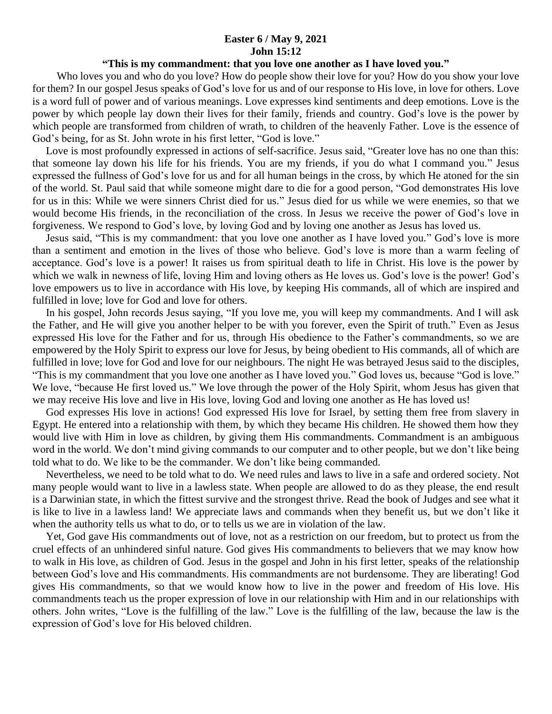## **Easter 6 / May 9, 2021 John 15:12**

## **"This is my commandment: that you love one another as I have loved you."**

Who loves you and who do you love? How do people show their love for you? How do you show your love for them? In our gospel Jesus speaks of God's love for us and of our response to His love, in love for others. Love is a word full of power and of various meanings. Love expresses kind sentiments and deep emotions. Love is the power by which people lay down their lives for their family, friends and country. God's love is the power by which people are transformed from children of wrath, to children of the heavenly Father. Love is the essence of God's being, for as St. John wrote in his first letter, "God is love."

 Love is most profoundly expressed in actions of self-sacrifice. Jesus said, "Greater love has no one than this: that someone lay down his life for his friends. You are my friends, if you do what I command you." Jesus expressed the fullness of God's love for us and for all human beings in the cross, by which He atoned for the sin of the world. St. Paul said that while someone might dare to die for a good person, "God demonstrates His love for us in this: While we were sinners Christ died for us." Jesus died for us while we were enemies, so that we would become His friends, in the reconciliation of the cross. In Jesus we receive the power of God's love in forgiveness. We respond to God's love, by loving God and by loving one another as Jesus has loved us.

 Jesus said, "This is my commandment: that you love one another as I have loved you." God's love is more than a sentiment and emotion in the lives of those who believe. God's love is more than a warm feeling of acceptance. God's love is a power! It raises us from spiritual death to life in Christ. His love is the power by which we walk in newness of life, loving Him and loving others as He loves us. God's love is the power! God's love empowers us to live in accordance with His love, by keeping His commands, all of which are inspired and fulfilled in love; love for God and love for others.

 In his gospel, John records Jesus saying, "If you love me, you will keep my commandments. And I will ask the Father, and He will give you another helper to be with you forever, even the Spirit of truth." Even as Jesus expressed His love for the Father and for us, through His obedience to the Father's commandments, so we are empowered by the Holy Spirit to express our love for Jesus, by being obedient to His commands, all of which are fulfilled in love; love for God and love for our neighbours. The night He was betrayed Jesus said to the disciples, "This is my commandment that you love one another as I have loved you." God loves us, because "God is love." We love, "because He first loved us." We love through the power of the Holy Spirit, whom Jesus has given that we may receive His love and live in His love, loving God and loving one another as He has loved us!

 God expresses His love in actions! God expressed His love for Israel, by setting them free from slavery in Egypt. He entered into a relationship with them, by which they became His children. He showed them how they would live with Him in love as children, by giving them His commandments. Commandment is an ambiguous word in the world. We don't mind giving commands to our computer and to other people, but we don't like being told what to do. We like to be the commander. We don't like being commanded.

 Nevertheless, we need to be told what to do. We need rules and laws to live in a safe and ordered society. Not many people would want to live in a lawless state. When people are allowed to do as they please, the end result is a Darwinian state, in which the fittest survive and the strongest thrive. Read the book of Judges and see what it is like to live in a lawless land! We appreciate laws and commands when they benefit us, but we don't like it when the authority tells us what to do, or to tells us we are in violation of the law.

 Yet, God gave His commandments out of love, not as a restriction on our freedom, but to protect us from the cruel effects of an unhindered sinful nature. God gives His commandments to believers that we may know how to walk in His love, as children of God. Jesus in the gospel and John in his first letter, speaks of the relationship between God's love and His commandments. His commandments are not burdensome. They are liberating! God gives His commandments, so that we would know how to live in the power and freedom of His love. His commandments teach us the proper expression of love in our relationship with Him and in our relationships with others. John writes, "Love is the fulfilling of the law." Love is the fulfilling of the law, because the law is the expression of God's love for His beloved children.